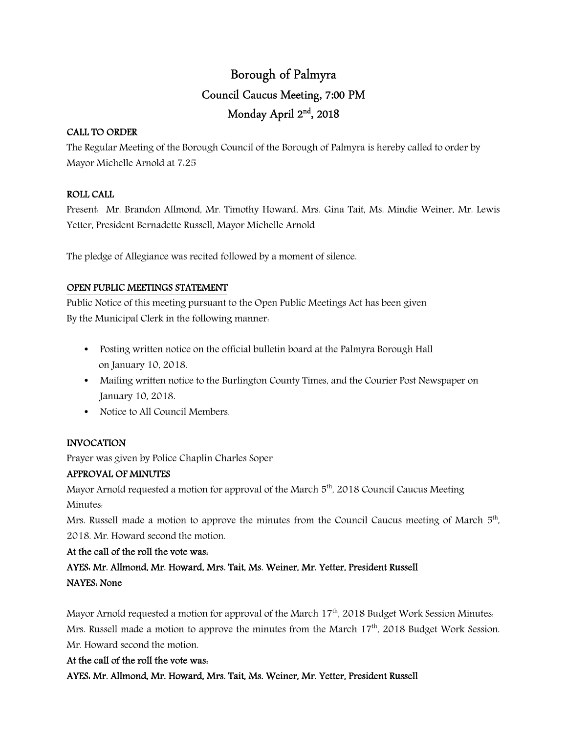# Borough of Palmyra Council Caucus Meeting, 7:00 PM Monday April 2nd, 2018

## CALL TO ORDER

The Regular Meeting of the Borough Council of the Borough of Palmyra is hereby called to order by Mayor Michelle Arnold at 7:25

# ROLL CALL

Present: Mr. Brandon Allmond, Mr. Timothy Howard, Mrs. Gina Tait, Ms. Mindie Weiner, Mr. Lewis Yetter, President Bernadette Russell, Mayor Michelle Arnold

The pledge of Allegiance was recited followed by a moment of silence.

# OPEN PUBLIC MEETINGS STATEMENT

Public Notice of this meeting pursuant to the Open Public Meetings Act has been given By the Municipal Clerk in the following manner:

- Posting written notice on the official bulletin board at the Palmyra Borough Hall on January 10, 2018.
- Mailing written notice to the Burlington County Times, and the Courier Post Newspaper on January 10, 2018.
- Notice to All Council Members.

# INVOCATION

Prayer was given by Police Chaplin Charles Soper

# APPROVAL OF MINUTES

Mayor Arnold requested a motion for approval of the March  $5<sup>th</sup>$ , 2018 Council Caucus Meeting Minutes:

Mrs. Russell made a motion to approve the minutes from the Council Caucus meeting of March  $5<sup>th</sup>$ , 2018. Mr. Howard second the motion.

### At the call of the roll the vote was:

AYES: Mr. Allmond, Mr. Howard, Mrs. Tait, Ms. Weiner, Mr. Yetter, President Russell NAYES: None

Mayor Arnold requested a motion for approval of the March  $17<sup>th</sup>$ , 2018 Budget Work Session Minutes. Mrs. Russell made a motion to approve the minutes from the March  $17<sup>th</sup>$ , 2018 Budget Work Session. Mr. Howard second the motion.

At the call of the roll the vote was:

AYES: Mr. Allmond, Mr. Howard, Mrs. Tait, Ms. Weiner, Mr. Yetter, President Russell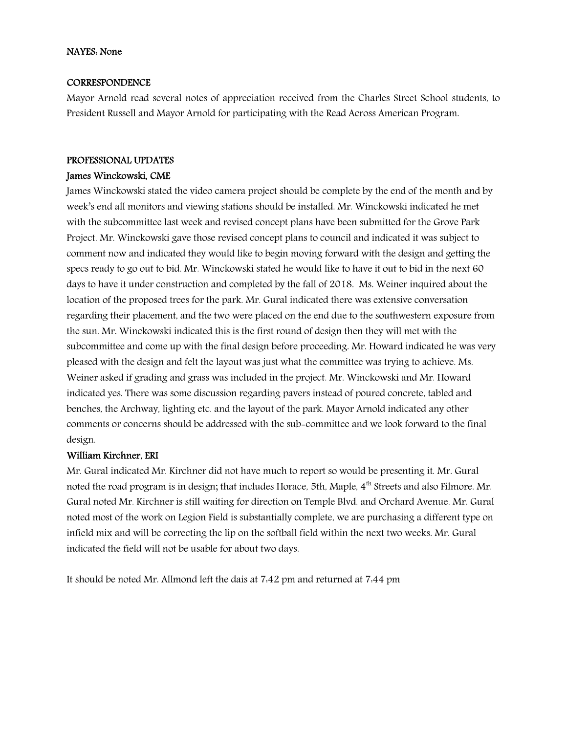#### NAYES: None

#### **CORRESPONDENCE**

Mayor Arnold read several notes of appreciation received from the Charles Street School students, to President Russell and Mayor Arnold for participating with the Read Across American Program.

#### PROFESSIONAL UPDATES

#### James Winckowski, CME

James Winckowski stated the video camera project should be complete by the end of the month and by week's end all monitors and viewing stations should be installed. Mr. Winckowski indicated he met with the subcommittee last week and revised concept plans have been submitted for the Grove Park Project. Mr. Winckowski gave those revised concept plans to council and indicated it was subject to comment now and indicated they would like to begin moving forward with the design and getting the specs ready to go out to bid. Mr. Winckowski stated he would like to have it out to bid in the next 60 days to have it under construction and completed by the fall of 2018. Ms. Weiner inquired about the location of the proposed trees for the park. Mr. Gural indicated there was extensive conversation regarding their placement, and the two were placed on the end due to the southwestern exposure from the sun. Mr. Winckowski indicated this is the first round of design then they will met with the subcommittee and come up with the final design before proceeding. Mr. Howard indicated he was very pleased with the design and felt the layout was just what the committee was trying to achieve. Ms. Weiner asked if grading and grass was included in the project. Mr. Winckowski and Mr. Howard indicated yes. There was some discussion regarding pavers instead of poured concrete, tabled and benches, the Archway, lighting etc. and the layout of the park. Mayor Arnold indicated any other comments or concerns should be addressed with the sub-committee and we look forward to the final design.

#### William Kirchner, ERI

Mr. Gural indicated Mr. Kirchner did not have much to report so would be presenting it. Mr. Gural noted the road program is in design; that includes Horace, 5th, Maple, 4<sup>th</sup> Streets and also Filmore. Mr. Gural noted Mr. Kirchner is still waiting for direction on Temple Blvd. and Orchard Avenue. Mr. Gural noted most of the work on Legion Field is substantially complete, we are purchasing a different type on infield mix and will be correcting the lip on the softball field within the next two weeks. Mr. Gural indicated the field will not be usable for about two days.

It should be noted Mr. Allmond left the dais at 7:42 pm and returned at 7:44 pm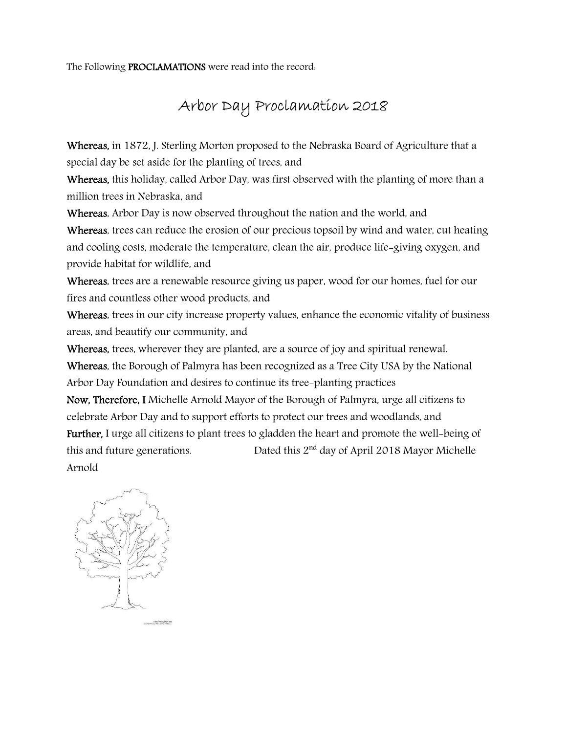The Following PROCLAMATIONS were read into the record.

# Arbor Day Proclamation 2018

Whereas, in 1872, J. Sterling Morton proposed to the Nebraska Board of Agriculture that a special day be set aside for the planting of trees, and

Whereas, this holiday, called Arbor Day, was first observed with the planting of more than a million trees in Nebraska, and

Whereas, Arbor Day is now observed throughout the nation and the world, and

Whereas, trees can reduce the erosion of our precious topsoil by wind and water, cut heating and cooling costs, moderate the temperature, clean the air, produce life-giving oxygen, and provide habitat for wildlife, and

Whereas, trees are a renewable resource giving us paper, wood for our homes, fuel for our fires and countless other wood products, and

Whereas, trees in our city increase property values, enhance the economic vitality of business areas, and beautify our community, and

Whereas, trees, wherever they are planted, are a source of joy and spiritual renewal.

Whereas, the Borough of Palmyra has been recognized as a Tree City USA by the National Arbor Day Foundation and desires to continue its tree-planting practices

Now, Therefore, I Michelle Arnold Mayor of the Borough of Palmyra, urge all citizens to celebrate Arbor Day and to support efforts to protect our trees and woodlands, and

Further, I urge all citizens to plant trees to gladden the heart and promote the well-being of this and future generations. Dated this  $2<sup>nd</sup>$  day of April 2018 Mayor Michelle Arnold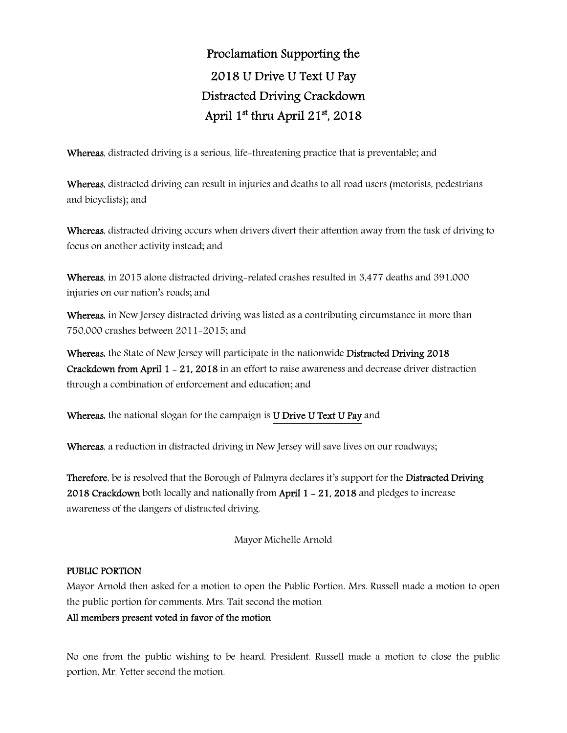# Proclamation Supporting the 2018 U Drive U Text U Pay Distracted Driving Crackdown April 1st thru April 21st, 2018

Whereas, distracted driving is a serious, life-threatening practice that is preventable; and

Whereas, distracted driving can result in injuries and deaths to all road users (motorists, pedestrians and bicyclists); and

Whereas, distracted driving occurs when drivers divert their attention away from the task of driving to focus on another activity instead; and

Whereas, in 2015 alone distracted driving-related crashes resulted in 3,477 deaths and 391,000 injuries on our nation's roads; and

Whereas, in New Jersey distracted driving was listed as a contributing circumstance in more than 750,000 crashes between 2011-2015; and

Whereas, the State of New Jersey will participate in the nationwide Distracted Driving 2018 Crackdown from April 1 - 21, 2018 in an effort to raise awareness and decrease driver distraction through a combination of enforcement and education; and

Whereas, the national slogan for the campaign is U Drive U Text U Pay and

Whereas, a reduction in distracted driving in New Jersey will save lives on our roadways;

Therefore, be is resolved that the Borough of Palmyra declares it's support for the Distracted Driving 2018 Crackdown both locally and nationally from April 1 - 21, 2018 and pledges to increase awareness of the dangers of distracted driving.

### Mayor Michelle Arnold

### PUBLIC PORTION

Mayor Arnold then asked for a motion to open the Public Portion. Mrs. Russell made a motion to open the public portion for comments. Mrs. Tait second the motion

#### All members present voted in favor of the motion

No one from the public wishing to be heard, President. Russell made a motion to close the public portion, Mr. Yetter second the motion.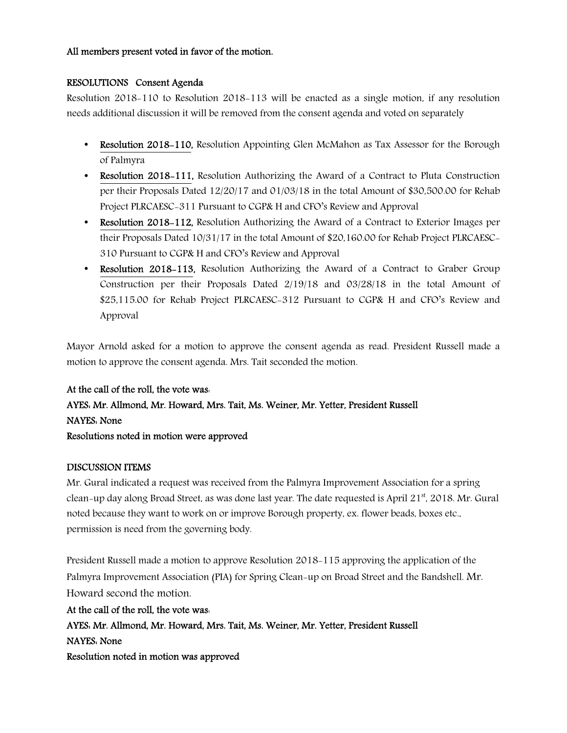#### All members present voted in favor of the motion.

#### RESOLUTIONS Consent Agenda

Resolution 2018-110 to Resolution 2018-113 will be enacted as a single motion, if any resolution needs additional discussion it will be removed from the consent agenda and voted on separately

- Resolution 2018-110, Resolution Appointing Glen McMahon as Tax Assessor for the Borough of Palmyra
- Resolution 2018-111, Resolution Authorizing the Award of a Contract to Pluta Construction per their Proposals Dated 12/20/17 and 01/03/18 in the total Amount of \$30,500.00 for Rehab Project PLRCAESC-311 Pursuant to CGP& H and CFO's Review and Approval
- **Resolution 2018–112, Resolution Authorizing the Award of a Contract to Exterior Images per** their Proposals Dated 10/31/17 in the total Amount of \$20,160.00 for Rehab Project PLRCAESC-310 Pursuant to CGP& H and CFO's Review and Approval
- Resolution 2018-113, Resolution Authorizing the Award of a Contract to Graber Group Construction per their Proposals Dated 2/19/18 and 03/28/18 in the total Amount of \$25,115.00 for Rehab Project PLRCAESC-312 Pursuant to CGP& H and CFO's Review and Approval

Mayor Arnold asked for a motion to approve the consent agenda as read. President Russell made a motion to approve the consent agenda. Mrs. Tait seconded the motion.

# At the call of the roll, the vote was: AYES: Mr. Allmond, Mr. Howard, Mrs. Tait, Ms. Weiner, Mr. Yetter, President Russell NAYES: None Resolutions noted in motion were approved

#### DISCUSSION ITEMS

Mr. Gural indicated a request was received from the Palmyra Improvement Association for a spring clean-up day along Broad Street, as was done last year. The date requested is April 21<sup>st</sup>, 2018. Mr. Gural noted because they want to work on or improve Borough property, ex. flower beads, boxes etc., permission is need from the governing body.

President Russell made a motion to approve Resolution 2018-115 approving the application of the Palmyra Improvement Association (PIA) for Spring Clean-up on Broad Street and the Bandshell. Mr. Howard second the motion.

At the call of the roll, the vote was: AYES: Mr. Allmond, Mr. Howard, Mrs. Tait, Ms. Weiner, Mr. Yetter, President Russell NAYES: None Resolution noted in motion was approved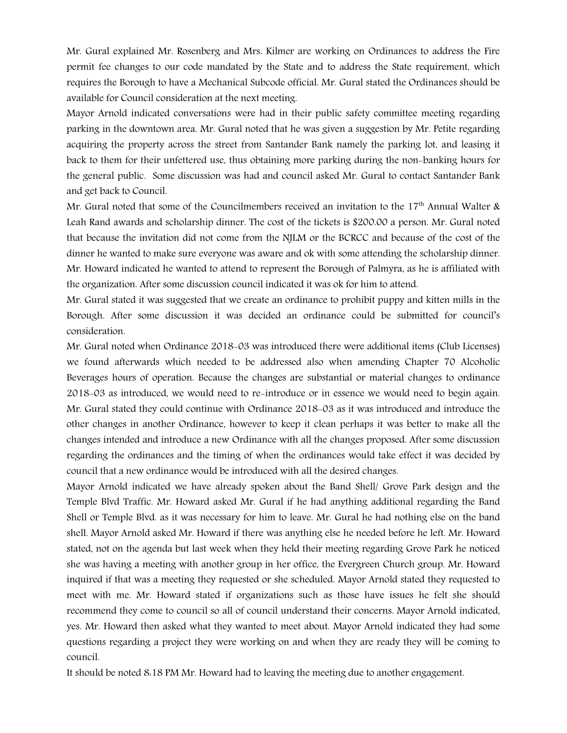Mr. Gural explained Mr. Rosenberg and Mrs. Kilmer are working on Ordinances to address the Fire permit fee changes to our code mandated by the State and to address the State requirement, which requires the Borough to have a Mechanical Subcode official. Mr. Gural stated the Ordinances should be available for Council consideration at the next meeting.

Mayor Arnold indicated conversations were had in their public safety committee meeting regarding parking in the downtown area. Mr. Gural noted that he was given a suggestion by Mr. Petite regarding acquiring the property across the street from Santander Bank namely the parking lot, and leasing it back to them for their unfettered use, thus obtaining more parking during the non-banking hours for the general public. Some discussion was had and council asked Mr. Gural to contact Santander Bank and get back to Council.

Mr. Gural noted that some of the Councilmembers received an invitation to the  $17<sup>th</sup>$  Annual Walter & Leah Rand awards and scholarship dinner. The cost of the tickets is \$200.00 a person. Mr. Gural noted that because the invitation did not come from the NJLM or the BCRCC and because of the cost of the dinner he wanted to make sure everyone was aware and ok with some attending the scholarship dinner. Mr. Howard indicated he wanted to attend to represent the Borough of Palmyra, as he is affiliated with the organization. After some discussion council indicated it was ok for him to attend.

Mr. Gural stated it was suggested that we create an ordinance to prohibit puppy and kitten mills in the Borough. After some discussion it was decided an ordinance could be submitted for council's consideration.

Mr. Gural noted when Ordinance 2018-03 was introduced there were additional items (Club Licenses) we found afterwards which needed to be addressed also when amending Chapter 70 Alcoholic Beverages hours of operation. Because the changes are substantial or material changes to ordinance 2018-03 as introduced, we would need to re-introduce or in essence we would need to begin again. Mr. Gural stated they could continue with Ordinance 2018-03 as it was introduced and introduce the other changes in another Ordinance, however to keep it clean perhaps it was better to make all the changes intended and introduce a new Ordinance with all the changes proposed. After some discussion regarding the ordinances and the timing of when the ordinances would take effect it was decided by council that a new ordinance would be introduced with all the desired changes.

Mayor Arnold indicated we have already spoken about the Band Shell/ Grove Park design and the Temple Blvd Traffic. Mr. Howard asked Mr. Gural if he had anything additional regarding the Band Shell or Temple Blvd. as it was necessary for him to leave. Mr. Gural he had nothing else on the band shell. Mayor Arnold asked Mr. Howard if there was anything else he needed before he left. Mr. Howard stated, not on the agenda but last week when they held their meeting regarding Grove Park he noticed she was having a meeting with another group in her office, the Evergreen Church group. Mr. Howard inquired if that was a meeting they requested or she scheduled. Mayor Arnold stated they requested to meet with me. Mr. Howard stated if organizations such as those have issues he felt she should recommend they come to council so all of council understand their concerns. Mayor Arnold indicated, yes. Mr. Howard then asked what they wanted to meet about. Mayor Arnold indicated they had some questions regarding a project they were working on and when they are ready they will be coming to council.

It should be noted 8:18 PM Mr. Howard had to leaving the meeting due to another engagement.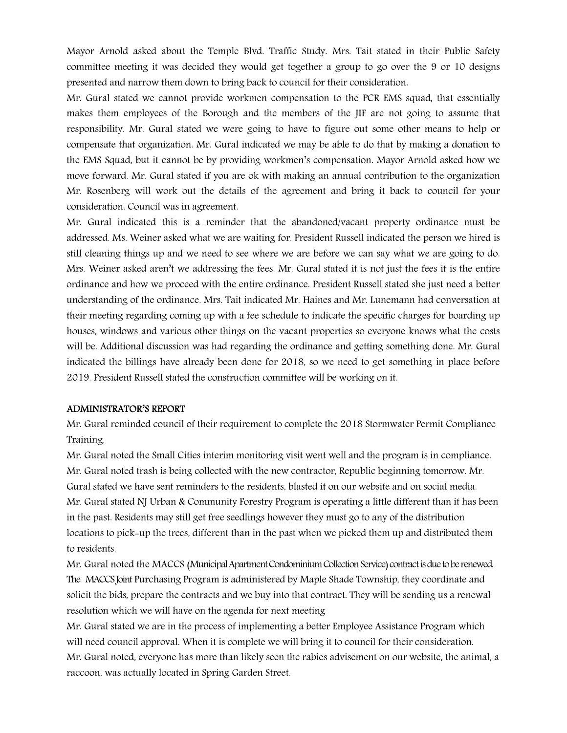Mayor Arnold asked about the Temple Blvd. Traffic Study. Mrs. Tait stated in their Public Safety committee meeting it was decided they would get together a group to go over the 9 or 10 designs presented and narrow them down to bring back to council for their consideration.

Mr. Gural stated we cannot provide workmen compensation to the PCR EMS squad, that essentially makes them employees of the Borough and the members of the JIF are not going to assume that responsibility. Mr. Gural stated we were going to have to figure out some other means to help or compensate that organization. Mr. Gural indicated we may be able to do that by making a donation to the EMS Squad, but it cannot be by providing workmen's compensation. Mayor Arnold asked how we move forward. Mr. Gural stated if you are ok with making an annual contribution to the organization Mr. Rosenberg will work out the details of the agreement and bring it back to council for your consideration. Council was in agreement.

Mr. Gural indicated this is a reminder that the abandoned/vacant property ordinance must be addressed. Ms. Weiner asked what we are waiting for. President Russell indicated the person we hired is still cleaning things up and we need to see where we are before we can say what we are going to do. Mrs. Weiner asked aren't we addressing the fees. Mr. Gural stated it is not just the fees it is the entire ordinance and how we proceed with the entire ordinance. President Russell stated she just need a better understanding of the ordinance. Mrs. Tait indicated Mr. Haines and Mr. Lunemann had conversation at their meeting regarding coming up with a fee schedule to indicate the specific charges for boarding up houses, windows and various other things on the vacant properties so everyone knows what the costs will be. Additional discussion was had regarding the ordinance and getting something done. Mr. Gural indicated the billings have already been done for 2018, so we need to get something in place before 2019. President Russell stated the construction committee will be working on it.

#### ADMINISTRATOR'S REPORT

Mr. Gural reminded council of their requirement to complete the 2018 Stormwater Permit Compliance Training.

Mr. Gural noted the Small Cities interim monitoring visit went well and the program is in compliance. Mr. Gural noted trash is being collected with the new contractor, Republic beginning tomorrow. Mr. Gural stated we have sent reminders to the residents, blasted it on our website and on social media. Mr. Gural stated NJ Urban & Community Forestry Program is operating a little different than it has been in the past. Residents may still get free seedlings however they must go to any of the distribution locations to pick-up the trees, different than in the past when we picked them up and distributed them to residents.

Mr. Gural noted the MACCS (Municipal Apartment Condominium Collection Service) contract is due to be renewed. The MACCS Joint Purchasing Program is administered by Maple Shade Township, they coordinate and solicit the bids, prepare the contracts and we buy into that contract. They will be sending us a renewal resolution which we will have on the agenda for next meeting

Mr. Gural stated we are in the process of implementing a better Employee Assistance Program which will need council approval. When it is complete we will bring it to council for their consideration. Mr. Gural noted, everyone has more than likely seen the rabies advisement on our website, the animal, a raccoon, was actually located in Spring Garden Street.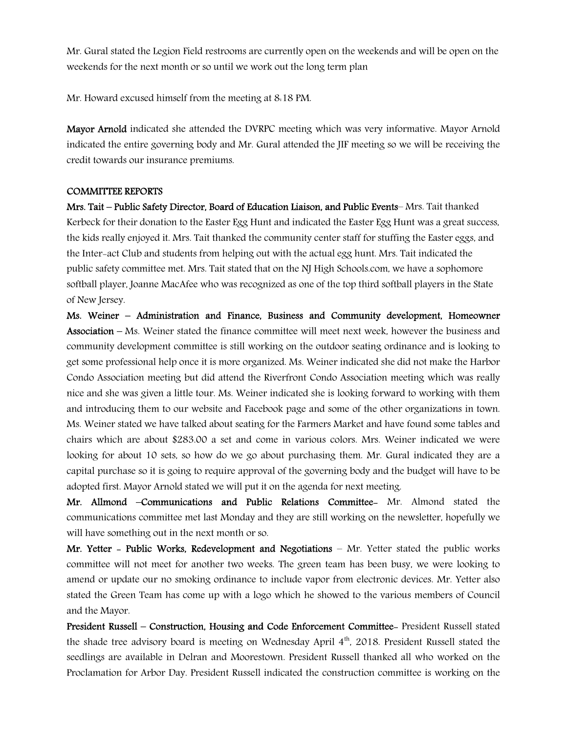Mr. Gural stated the Legion Field restrooms are currently open on the weekends and will be open on the weekends for the next month or so until we work out the long term plan

Mr. Howard excused himself from the meeting at 8:18 PM.

Mayor Arnold indicated she attended the DVRPC meeting which was very informative. Mayor Arnold indicated the entire governing body and Mr. Gural attended the JIF meeting so we will be receiving the credit towards our insurance premiums.

#### COMMITTEE REPORTS

Mrs. Tait – Public Safety Director, Board of Education Liaison, and Public Events– Mrs. Tait thanked Kerbeck for their donation to the Easter Egg Hunt and indicated the Easter Egg Hunt was a great success, the kids really enjoyed it. Mrs. Tait thanked the community center staff for stuffing the Easter eggs, and the Inter-act Club and students from helping out with the actual egg hunt. Mrs. Tait indicated the public safety committee met. Mrs. Tait stated that on the NJ High Schools.com, we have a sophomore softball player, Joanne MacAfee who was recognized as one of the top third softball players in the State of New Jersey.

Ms. Weiner – Administration and Finance, Business and Community development, Homeowner Association – Ms. Weiner stated the finance committee will meet next week, however the business and community development committee is still working on the outdoor seating ordinance and is looking to get some professional help once it is more organized. Ms. Weiner indicated she did not make the Harbor Condo Association meeting but did attend the Riverfront Condo Association meeting which was really nice and she was given a little tour. Ms. Weiner indicated she is looking forward to working with them and introducing them to our website and Facebook page and some of the other organizations in town. Ms. Weiner stated we have talked about seating for the Farmers Market and have found some tables and chairs which are about \$283.00 a set and come in various colors. Mrs. Weiner indicated we were looking for about 10 sets, so how do we go about purchasing them. Mr. Gural indicated they are a capital purchase so it is going to require approval of the governing body and the budget will have to be adopted first. Mayor Arnold stated we will put it on the agenda for next meeting.

Mr. Allmond –Communications and Public Relations Committee- Mr. Almond stated the communications committee met last Monday and they are still working on the newsletter, hopefully we will have something out in the next month or so.

Mr. Yetter - Public Works, Redevelopment and Negotiations - Mr. Yetter stated the public works committee will not meet for another two weeks. The green team has been busy, we were looking to amend or update our no smoking ordinance to include vapor from electronic devices. Mr. Yetter also stated the Green Team has come up with a logo which he showed to the various members of Council and the Mayor.

President Russell – Construction, Housing and Code Enforcement Committee- President Russell stated the shade tree advisory board is meeting on Wednesday April 4<sup>th</sup>, 2018. President Russell stated the seedlings are available in Delran and Moorestown. President Russell thanked all who worked on the Proclamation for Arbor Day. President Russell indicated the construction committee is working on the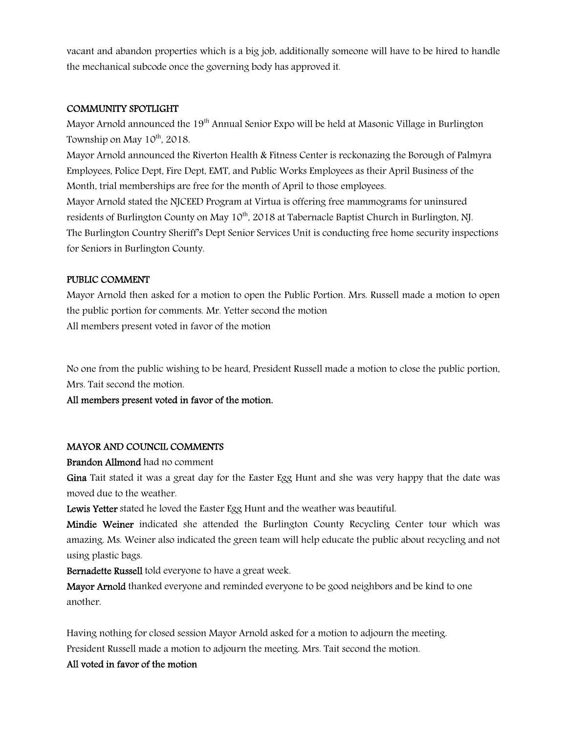vacant and abandon properties which is a big job, additionally someone will have to be hired to handle the mechanical subcode once the governing body has approved it.

#### COMMUNITY SPOTLIGHT

Mayor Arnold announced the 19<sup>th</sup> Annual Senior Expo will be held at Masonic Village in Burlington Township on May  $10^{th}$ , 2018.

Mayor Arnold announced the Riverton Health & Fitness Center is reckonazing the Borough of Palmyra Employees, Police Dept, Fire Dept, EMT, and Public Works Employees as their April Business of the Month, trial memberships are free for the month of April to those employees.

Mayor Arnold stated the NJCEED Program at Virtua is offering free mammograms for uninsured residents of Burlington County on May 10<sup>th</sup>, 2018 at Tabernacle Baptist Church in Burlington, NJ. The Burlington Country Sheriff's Dept Senior Services Unit is conducting free home security inspections for Seniors in Burlington County.

### PUBLIC COMMENT

Mayor Arnold then asked for a motion to open the Public Portion. Mrs. Russell made a motion to open the public portion for comments. Mr. Yetter second the motion All members present voted in favor of the motion

No one from the public wishing to be heard, President Russell made a motion to close the public portion, Mrs. Tait second the motion.

All members present voted in favor of the motion.

### MAYOR AND COUNCIL COMMENTS

Brandon Allmond had no comment

Gina Tait stated it was a great day for the Easter Egg Hunt and she was very happy that the date was moved due to the weather.

Lewis Yetter stated he loved the Easter Egg Hunt and the weather was beautiful.

Mindie Weiner indicated she attended the Burlington County Recycling Center tour which was amazing. Ms. Weiner also indicated the green team will help educate the public about recycling and not using plastic bags.

Bernadette Russell told everyone to have a great week.

Mayor Arnold thanked everyone and reminded everyone to be good neighbors and be kind to one another.

Having nothing for closed session Mayor Arnold asked for a motion to adjourn the meeting. President Russell made a motion to adjourn the meeting. Mrs. Tait second the motion.

### All voted in favor of the motion